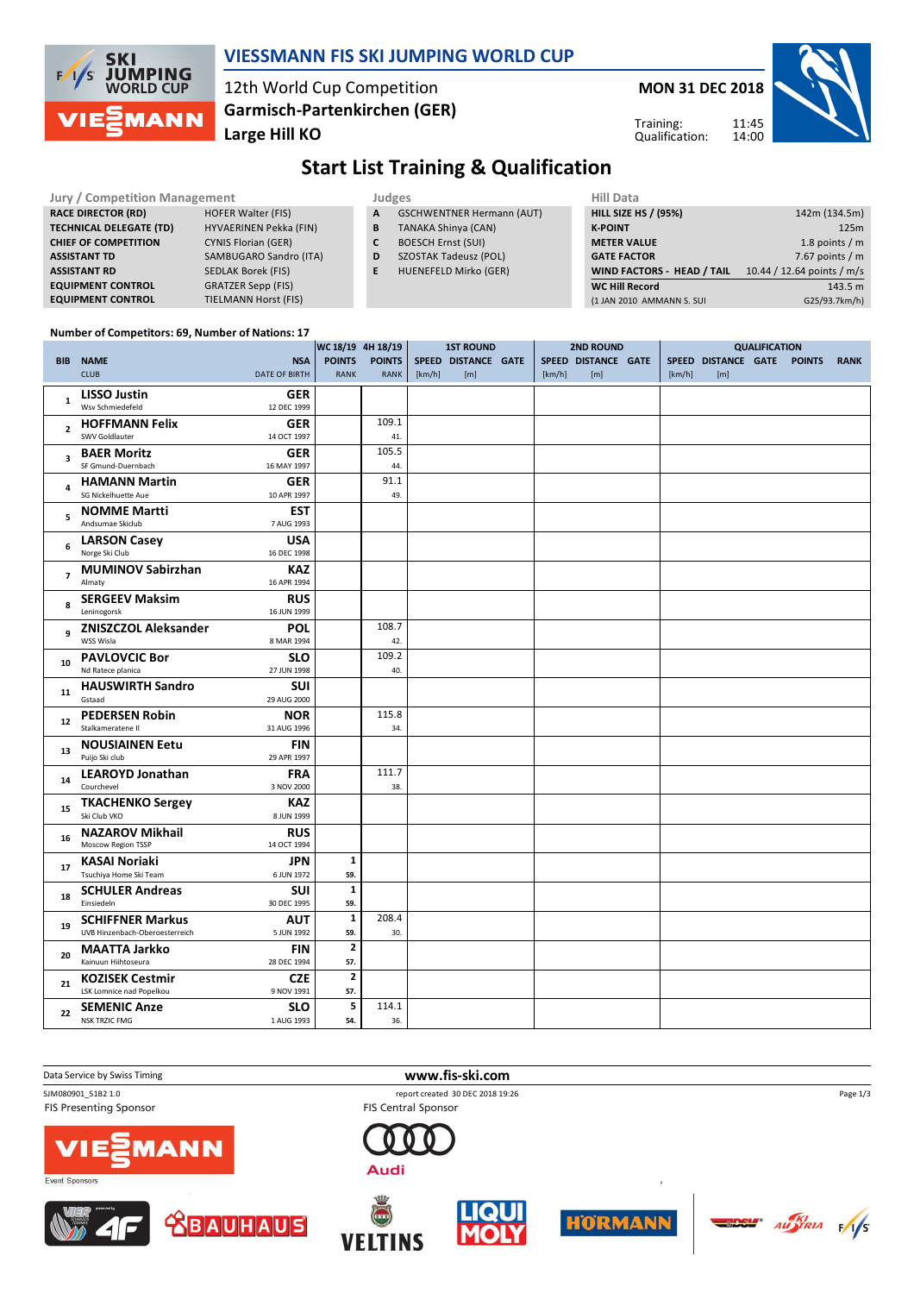

#### **VIESSMANN FIS SKI JUMPING WORLD CUP**

12th World Cup Competition **Large Hill KO Garmisch-Partenkirchen (GER)** **MON 31 DEC 2018**

Training: Qualification:



# **Start List Training & Qualification**

| Jury / Competition Management  |                               |    | Judges                           |                             | <b>Hill Data</b>                  |                            |  |  |  |  |
|--------------------------------|-------------------------------|----|----------------------------------|-----------------------------|-----------------------------------|----------------------------|--|--|--|--|
| <b>RACE DIRECTOR (RD)</b>      | <b>HOFER Walter (FIS)</b>     | A  | <b>GSCHWENTNER Hermann (AUT)</b> | <b>HILL SIZE HS / (95%)</b> |                                   | 142m (134.5m)              |  |  |  |  |
| <b>TECHNICAL DELEGATE (TD)</b> | <b>HYVAERINEN Pekka (FIN)</b> | В  | <b>TANAKA Shinya (CAN)</b>       |                             | <b>K-POINT</b>                    | 125m                       |  |  |  |  |
| <b>CHIEF OF COMPETITION</b>    | <b>CYNIS Florian (GER)</b>    |    | <b>BOESCH Ernst (SUI)</b>        |                             | <b>METER VALUE</b>                | 1.8 points $/m$            |  |  |  |  |
| <b>ASSISTANT TD</b>            | SAMBUGARO Sandro (ITA)        | D  | <b>SZOSTAK Tadeusz (POL)</b>     |                             | <b>GATE FACTOR</b>                | 7.67 points $/m$           |  |  |  |  |
| <b>ASSISTANT RD</b>            | SEDLAK Borek (FIS)            | E. | HUENEFELD Mirko (GER)            |                             | <b>WIND FACTORS - HEAD / TAIL</b> | 10.44 / 12.64 points / m/s |  |  |  |  |
| <b>EQUIPMENT CONTROL</b>       | <b>GRATZER Sepp (FIS)</b>     |    |                                  |                             | <b>WC Hill Record</b>             | 143.5 m                    |  |  |  |  |
| <b>EQUIPMENT CONTROL</b>       | <b>TIELMANN Horst (FIS)</b>   |    |                                  |                             | (1 JAN 2010 AMMANN S. SUI         | G25/93.7km/h)              |  |  |  |  |

#### **Number of Competitors: 69, Number of Nations: 17**

|                         |                                             |                           | WC 18/19 4H 18/19 |               |        | <b>1ST ROUND</b>    |  |        | <b>2ND ROUND</b>    |  |        | <b>QUALIFICATION</b> |  |               |             |
|-------------------------|---------------------------------------------|---------------------------|-------------------|---------------|--------|---------------------|--|--------|---------------------|--|--------|----------------------|--|---------------|-------------|
|                         | <b>BIB NAME</b>                             | <b>NSA</b>                | <b>POINTS</b>     | <b>POINTS</b> |        | SPEED DISTANCE GATE |  |        | SPEED DISTANCE GATE |  |        | SPEED DISTANCE GATE  |  | <b>POINTS</b> | <b>RANK</b> |
|                         | <b>CLUB</b>                                 | <b>DATE OF BIRTH</b>      | RANK              | RANK          | [km/h] | [m]                 |  | [km/h] | [m]                 |  | [km/h] | [m]                  |  |               |             |
|                         | <b>LISSO Justin</b>                         | <b>GER</b>                |                   |               |        |                     |  |        |                     |  |        |                      |  |               |             |
| $\mathbf{1}$            | Wsv Schmiedefeld                            | 12 DEC 1999               |                   |               |        |                     |  |        |                     |  |        |                      |  |               |             |
|                         | <b>HOFFMANN Felix</b>                       | <b>GER</b>                |                   | 109.1         |        |                     |  |        |                     |  |        |                      |  |               |             |
| $\overline{2}$          | SWV Goldlauter                              | 14 OCT 1997               |                   | 41.           |        |                     |  |        |                     |  |        |                      |  |               |             |
|                         |                                             |                           |                   | 105.5         |        |                     |  |        |                     |  |        |                      |  |               |             |
| $\overline{\mathbf{3}}$ | <b>BAER Moritz</b><br>SF Gmund-Duernbach    | <b>GER</b><br>16 MAY 1997 |                   | 44.           |        |                     |  |        |                     |  |        |                      |  |               |             |
|                         |                                             |                           |                   |               |        |                     |  |        |                     |  |        |                      |  |               |             |
| 4                       | <b>HAMANN Martin</b><br>SG Nickelhuette Aue | <b>GER</b>                |                   | 91.1<br>49.   |        |                     |  |        |                     |  |        |                      |  |               |             |
|                         |                                             | 10 APR 1997               |                   |               |        |                     |  |        |                     |  |        |                      |  |               |             |
| 5                       | <b>NOMME Martti</b>                         | <b>EST</b>                |                   |               |        |                     |  |        |                     |  |        |                      |  |               |             |
|                         | Andsumae Skiclub                            | 7 AUG 1993                |                   |               |        |                     |  |        |                     |  |        |                      |  |               |             |
| 6                       | <b>LARSON Casey</b>                         | <b>USA</b>                |                   |               |        |                     |  |        |                     |  |        |                      |  |               |             |
|                         | Norge Ski Club                              | 16 DEC 1998               |                   |               |        |                     |  |        |                     |  |        |                      |  |               |             |
| $\overline{7}$          | <b>MUMINOV Sabirzhan</b>                    | <b>KAZ</b>                |                   |               |        |                     |  |        |                     |  |        |                      |  |               |             |
|                         | Almaty                                      | 16 APR 1994               |                   |               |        |                     |  |        |                     |  |        |                      |  |               |             |
| 8                       | <b>SERGEEV Maksim</b>                       | <b>RUS</b>                |                   |               |        |                     |  |        |                     |  |        |                      |  |               |             |
|                         | Leninogorsk                                 | 16 JUN 1999               |                   |               |        |                     |  |        |                     |  |        |                      |  |               |             |
| q                       | <b>ZNISZCZOL Aleksander</b>                 | POL                       |                   | 108.7         |        |                     |  |        |                     |  |        |                      |  |               |             |
|                         | WSS Wisla                                   | 8 MAR 1994                |                   | 42.           |        |                     |  |        |                     |  |        |                      |  |               |             |
| 10                      | <b>PAVLOVCIC Bor</b>                        | <b>SLO</b>                |                   | 109.2         |        |                     |  |        |                     |  |        |                      |  |               |             |
|                         | Nd Ratece planica                           | 27 JUN 1998               |                   | 40.           |        |                     |  |        |                     |  |        |                      |  |               |             |
| 11                      | <b>HAUSWIRTH Sandro</b>                     | <b>SUI</b>                |                   |               |        |                     |  |        |                     |  |        |                      |  |               |             |
|                         | Gstaad                                      | 29 AUG 2000               |                   |               |        |                     |  |        |                     |  |        |                      |  |               |             |
| 12                      | <b>PEDERSEN Robin</b>                       | <b>NOR</b>                |                   | 115.8         |        |                     |  |        |                     |  |        |                      |  |               |             |
|                         | Stalkameratene II                           | 31 AUG 1996               |                   | 34.           |        |                     |  |        |                     |  |        |                      |  |               |             |
| 13                      | <b>NOUSIAINEN Eetu</b>                      | <b>FIN</b>                |                   |               |        |                     |  |        |                     |  |        |                      |  |               |             |
|                         | Puijo Ski club                              | 29 APR 1997               |                   |               |        |                     |  |        |                     |  |        |                      |  |               |             |
| 14                      | <b>LEAROYD Jonathan</b>                     | <b>FRA</b>                |                   | 111.7         |        |                     |  |        |                     |  |        |                      |  |               |             |
|                         | Courchevel                                  | 3 NOV 2000                |                   | 38.           |        |                     |  |        |                     |  |        |                      |  |               |             |
| 15                      | <b>TKACHENKO Sergey</b>                     | <b>KAZ</b>                |                   |               |        |                     |  |        |                     |  |        |                      |  |               |             |
|                         | Ski Club VKO                                | 8 JUN 1999                |                   |               |        |                     |  |        |                     |  |        |                      |  |               |             |
| 16                      | <b>NAZAROV Mikhail</b>                      | <b>RUS</b>                |                   |               |        |                     |  |        |                     |  |        |                      |  |               |             |
|                         | Moscow Region TSSP                          | 14 OCT 1994               |                   |               |        |                     |  |        |                     |  |        |                      |  |               |             |
| 17                      | <b>KASAI Noriaki</b>                        | <b>JPN</b>                | $\mathbf{1}$      |               |        |                     |  |        |                     |  |        |                      |  |               |             |
|                         | Tsuchiya Home Ski Team                      | 6 JUN 1972                | 59.               |               |        |                     |  |        |                     |  |        |                      |  |               |             |
| 18                      | <b>SCHULER Andreas</b>                      | <b>SUI</b>                | $\mathbf{1}$      |               |        |                     |  |        |                     |  |        |                      |  |               |             |
|                         | Einsiedeln                                  | 30 DEC 1995               | 59.               |               |        |                     |  |        |                     |  |        |                      |  |               |             |
| 19                      | <b>SCHIFFNER Markus</b>                     | <b>AUT</b>                | $\mathbf 1$       | 208.4         |        |                     |  |        |                     |  |        |                      |  |               |             |
|                         | UVB Hinzenbach-Oberoesterreich              | 5 JUN 1992                | 59.               | 30.           |        |                     |  |        |                     |  |        |                      |  |               |             |
| 20                      | <b>MAATTA Jarkko</b>                        | <b>FIN</b>                | $\mathbf{2}$      |               |        |                     |  |        |                     |  |        |                      |  |               |             |
|                         | Kainuun Hiihtoseura                         | 28 DEC 1994               | 57.               |               |        |                     |  |        |                     |  |        |                      |  |               |             |
|                         | <b>KOZISEK Cestmir</b>                      | <b>CZE</b>                | $\mathbf{2}$      |               |        |                     |  |        |                     |  |        |                      |  |               |             |
| 21                      | LSK Lomnice nad Popelkou                    | 9 NOV 1991                | 57.               |               |        |                     |  |        |                     |  |        |                      |  |               |             |
|                         | <b>SEMENIC Anze</b>                         | <b>SLO</b>                | 5                 | 114.1         |        |                     |  |        |                     |  |        |                      |  |               |             |
| 22                      | <b>NSK TRZIC FMG</b>                        | 1 AUG 1993                | 54.               | 36.           |        |                     |  |        |                     |  |        |                      |  |               |             |

**FIS Presenting Sponsor** 

**Data Service by Swiss Timing WWW.fis-ski.com** 

SJM080901\_51B2 1.0 report created 30 DEC 2018 19:26















 $\frac{1}{\sqrt{5}}$ 

Page 1/3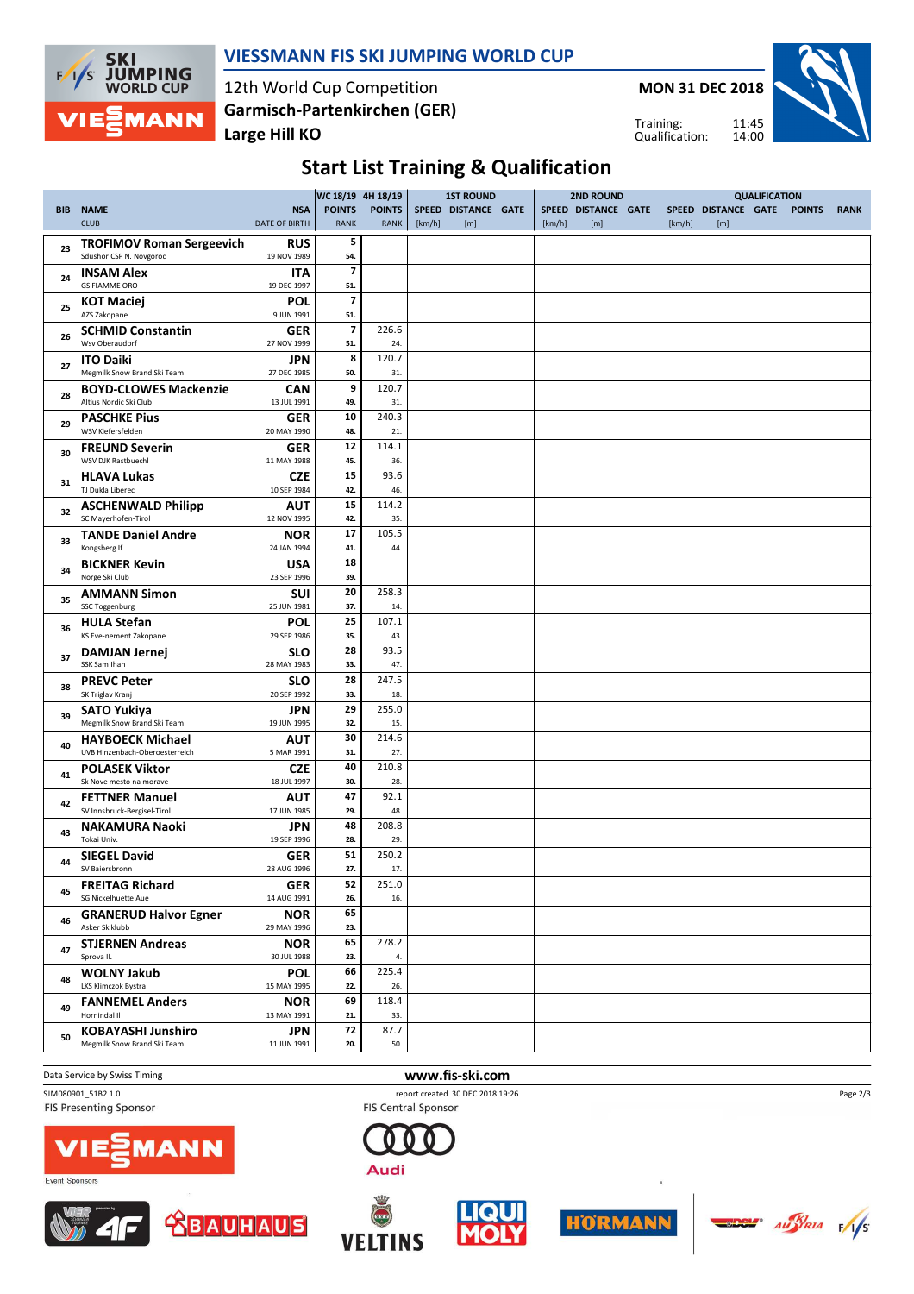

#### **VIESSMANN FIS SKI JUMPING WORLD CUP**

12th World Cup Competition **Large Hill KO Garmisch-Partenkirchen (GER)**

**MON 31 DEC 2018**



Training: Qualification:

# **Start List Training & Qualification**

|            |                                                             | WC 18/19 4H 18/19<br><b>1ST ROUND</b><br><b>2ND ROUND</b> |                                | <b>QUALIFICATION</b>         |        |                            |        |                            |        |                            |  |               |             |
|------------|-------------------------------------------------------------|-----------------------------------------------------------|--------------------------------|------------------------------|--------|----------------------------|--------|----------------------------|--------|----------------------------|--|---------------|-------------|
| <b>BIB</b> | <b>NAME</b><br><b>CLUB</b>                                  | <b>NSA</b><br><b>DATE OF BIRTH</b>                        | <b>POINTS</b><br><b>RANK</b>   | <b>POINTS</b><br><b>RANK</b> | [km/h] | SPEED DISTANCE GATE<br>[m] | [km/h] | SPEED DISTANCE GATE<br>[m] | [km/h] | SPEED DISTANCE GATE<br>[m] |  | <b>POINTS</b> | <b>RANK</b> |
| 23         | <b>TROFIMOV Roman Sergeevich</b><br>Sdushor CSP N. Novgorod | <b>RUS</b><br>19 NOV 1989                                 | 5<br>54.                       |                              |        |                            |        |                            |        |                            |  |               |             |
| 24         | <b>INSAM Alex</b><br><b>GS FIAMME ORO</b>                   | <b>ITA</b><br>19 DEC 1997                                 | $\overline{7}$<br>51.          |                              |        |                            |        |                            |        |                            |  |               |             |
| 25         | <b>KOT Maciej</b><br>AZS Zakopane                           | <b>POL</b><br>9 JUN 1991                                  | $\overline{7}$<br>51.          |                              |        |                            |        |                            |        |                            |  |               |             |
| 26         | <b>SCHMID Constantin</b><br>Wsv Oberaudorf                  | <b>GER</b><br>27 NOV 1999                                 | $\overline{\mathbf{z}}$<br>51. | 226.6<br>24.                 |        |                            |        |                            |        |                            |  |               |             |
| 27         | <b>ITO Daiki</b><br>Megmilk Snow Brand Ski Team             | <b>JPN</b><br>27 DEC 1985                                 | 8<br>50.                       | 120.7<br>31.                 |        |                            |        |                            |        |                            |  |               |             |
| 28         | <b>BOYD-CLOWES Mackenzie</b><br>Altius Nordic Ski Club      | <b>CAN</b><br>13 JUL 1991                                 | 9<br>49.                       | 120.7<br>31.                 |        |                            |        |                            |        |                            |  |               |             |
| 29         | <b>PASCHKE Pius</b><br>WSV Kiefersfelden                    | <b>GER</b><br>20 MAY 1990                                 | 10<br>48.                      | 240.3<br>21.                 |        |                            |        |                            |        |                            |  |               |             |
| 30         | <b>FREUND Severin</b><br>WSV DJK Rastbuechl                 | <b>GER</b><br>11 MAY 1988                                 | 12<br>45.                      | 114.1<br>36.                 |        |                            |        |                            |        |                            |  |               |             |
| 31         | <b>HLAVA Lukas</b><br>TJ Dukla Liberec                      | <b>CZE</b><br>10 SEP 1984                                 | 15<br>42.                      | 93.6<br>46.                  |        |                            |        |                            |        |                            |  |               |             |
| 32         | <b>ASCHENWALD Philipp</b><br>SC Maverhofen-Tirol            | <b>AUT</b>                                                | 15<br>42.                      | 114.2<br>35.                 |        |                            |        |                            |        |                            |  |               |             |
| 33         | <b>TANDE Daniel Andre</b>                                   | 12 NOV 1995<br><b>NOR</b>                                 | 17                             | 105.5                        |        |                            |        |                            |        |                            |  |               |             |
| 34         | Kongsberg If<br><b>BICKNER Kevin</b>                        | 24 JAN 1994<br><b>USA</b>                                 | 41.<br>18                      | 44.                          |        |                            |        |                            |        |                            |  |               |             |
| 35         | Norge Ski Club<br><b>AMMANN Simon</b>                       | 23 SEP 1996<br><b>SUI</b>                                 | 39.<br>20                      | 258.3                        |        |                            |        |                            |        |                            |  |               |             |
| 36         | <b>SSC Toggenburg</b><br><b>HULA Stefan</b>                 | 25 JUN 1981<br><b>POL</b>                                 | 37.<br>25                      | 14.<br>107.1                 |        |                            |        |                            |        |                            |  |               |             |
| 37         | KS Eve-nement Zakopane<br><b>DAMJAN Jernej</b>              | 29 SEP 1986<br><b>SLO</b>                                 | 35.<br>28                      | 43.<br>93.5                  |        |                            |        |                            |        |                            |  |               |             |
| 38         | SSK Sam Ihan<br><b>PREVC Peter</b>                          | 28 MAY 1983<br><b>SLO</b>                                 | 33.<br>28                      | 47.<br>247.5                 |        |                            |        |                            |        |                            |  |               |             |
|            | SK Triglav Kranj<br><b>SATO Yukiya</b>                      | 20 SEP 1992<br><b>JPN</b>                                 | 33.<br>29                      | 18.<br>255.0                 |        |                            |        |                            |        |                            |  |               |             |
| 39         | Megmilk Snow Brand Ski Team                                 | 19 JUN 1995                                               | 32.                            | 15.                          |        |                            |        |                            |        |                            |  |               |             |
| 40         | <b>HAYBOECK Michael</b><br>UVB Hinzenbach-Oberoesterreich   | AUT<br>5 MAR 1991                                         | 30<br>31.                      | 214.6<br>27.                 |        |                            |        |                            |        |                            |  |               |             |
| 41         | <b>POLASEK Viktor</b><br>Sk Nove mesto na morave            | <b>CZE</b><br>18 JUL 1997                                 | 40<br>30.                      | 210.8<br>28.                 |        |                            |        |                            |        |                            |  |               |             |
| 42         | <b>FETTNER Manuel</b><br>SV Innsbruck-Bergisel-Tirol        | AUT<br>17 JUN 1985                                        | 47<br>29.                      | 92.1<br>48.                  |        |                            |        |                            |        |                            |  |               |             |
| 43         | <b>NAKAMURA Naoki</b><br>Tokai Univ.                        | JPN<br>19 SEP 1996                                        | 48<br>28.                      | 208.8<br>29.                 |        |                            |        |                            |        |                            |  |               |             |
| 44         | <b>SIEGEL David</b><br>SV Baiersbronn                       | <b>GER</b><br>28 AUG 1996                                 | 51<br>27.                      | 250.2<br>17.                 |        |                            |        |                            |        |                            |  |               |             |
| 45         | <b>FREITAG Richard</b>                                      | <b>GER</b>                                                | 52                             | 251.0                        |        |                            |        |                            |        |                            |  |               |             |
| 46         | SG Nickelhuette Aue<br><b>GRANERUD Halvor Egner</b>         | 14 AUG 1991<br><b>NOR</b>                                 | 26.<br>65                      | 16.                          |        |                            |        |                            |        |                            |  |               |             |
| 47         | Asker Skiklubb<br><b>STJERNEN Andreas</b>                   | 29 MAY 1996<br><b>NOR</b>                                 | 23.<br>65                      | 278.2                        |        |                            |        |                            |        |                            |  |               |             |
| 48         | Sprova IL<br><b>WOLNY Jakub</b>                             | 30 JUL 1988<br><b>POL</b>                                 | 23.<br>66                      | 4.<br>225.4                  |        |                            |        |                            |        |                            |  |               |             |
|            | LKS Klimczok Bystra<br><b>FANNEMEL Anders</b>               | 15 MAY 1995<br><b>NOR</b>                                 | 22.<br>69                      | 26.<br>118.4                 |        |                            |        |                            |        |                            |  |               |             |
| 49         | Hornindal II                                                | 13 MAY 1991                                               | 21.<br>72                      | 33.<br>87.7                  |        |                            |        |                            |        |                            |  |               |             |
| 50         | <b>KOBAYASHI Junshiro</b><br>Megmilk Snow Brand Ski Team    | <b>JPN</b><br>11 JUN 1991                                 | 20.                            | 50.                          |        |                            |        |                            |        |                            |  |               |             |
|            |                                                             |                                                           |                                |                              |        |                            |        |                            |        |                            |  |               |             |

Data Service by Swiss Timing **www.fis-ski.com**

**FIS Presenting Sponsor** 



SJM080901\_51B2 1.0 report created 30 DEC 2018 19:26 FIS Central Sponsor



 $\Theta$ 



1AN









 $\frac{1}{\sqrt{5}}$